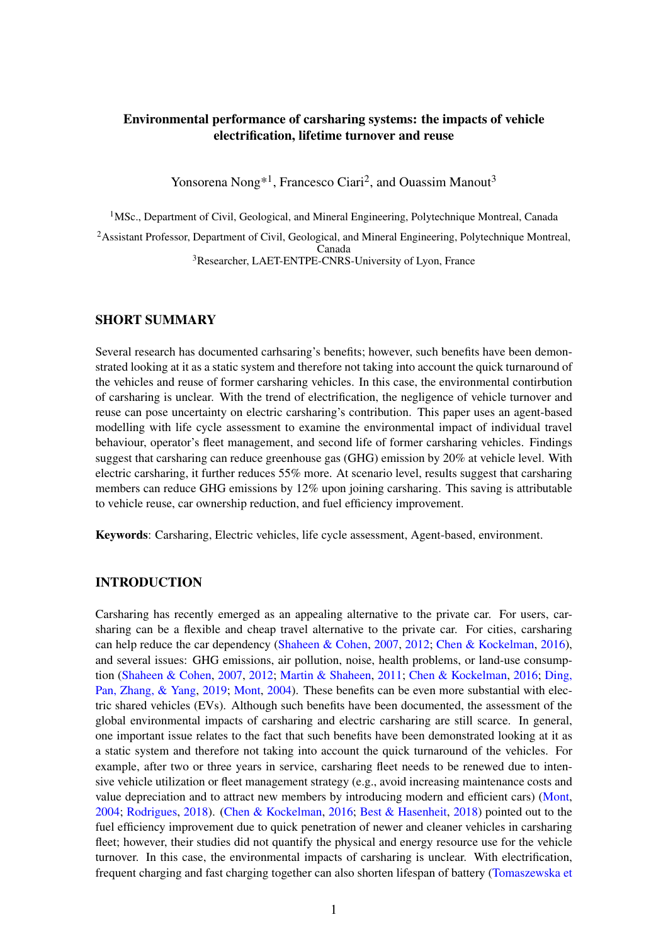# Environmental performance of carsharing systems: the impacts of vehicle electrification, lifetime turnover and reuse

Yonsorena Nong<sup>\*1</sup>, Francesco Ciari<sup>2</sup>, and Ouassim Manout<sup>3</sup>

<sup>1</sup>MSc., Department of Civil, Geological, and Mineral Engineering, Polytechnique Montreal, Canada

<sup>2</sup> Assistant Professor, Department of Civil, Geological, and Mineral Engineering, Polytechnique Montreal, Canada <sup>3</sup>Researcher, LAET-ENTPE-CNRS-University of Lyon, France

#### SHORT SUMMARY

Several research has documented carhsaring's benefits; however, such benefits have been demonstrated looking at it as a static system and therefore not taking into account the quick turnaround of the vehicles and reuse of former carsharing vehicles. In this case, the environmental contirbution of carsharing is unclear. With the trend of electrification, the negligence of vehicle turnover and reuse can pose uncertainty on electric carsharing's contribution. This paper uses an agent-based modelling with life cycle assessment to examine the environmental impact of individual travel behaviour, operator's fleet management, and second life of former carsharing vehicles. Findings suggest that carsharing can reduce greenhouse gas (GHG) emission by 20% at vehicle level. With electric carsharing, it further reduces 55% more. At scenario level, results suggest that carsharing members can reduce GHG emissions by 12% upon joining carsharing. This saving is attributable to vehicle reuse, car ownership reduction, and fuel efficiency improvement.

Keywords: Carsharing, Electric vehicles, life cycle assessment, Agent-based, environment.

#### INTRODUCTION

Carsharing has recently emerged as an appealing alternative to the private car. For users, carsharing can be a flexible and cheap travel alternative to the private car. For cities, carsharing can help reduce the car dependency [\(Shaheen & Cohen,](#page-8-0) [2007,](#page-8-0) [2012;](#page-8-1) [Chen & Kockelman,](#page-7-0) [2016\)](#page-7-0), and several issues: GHG emissions, air pollution, noise, health problems, or land-use consumption [\(Shaheen & Cohen,](#page-8-0) [2007,](#page-8-0) [2012;](#page-8-1) [Martin & Shaheen,](#page-8-2) [2011;](#page-8-2) [Chen & Kockelman,](#page-7-0) [2016;](#page-7-0) [Ding,](#page-7-1) [Pan, Zhang, & Yang,](#page-7-1) [2019;](#page-7-1) [Mont,](#page-8-3) [2004\)](#page-8-3). These benefits can be even more substantial with electric shared vehicles (EVs). Although such benefits have been documented, the assessment of the global environmental impacts of carsharing and electric carsharing are still scarce. In general, one important issue relates to the fact that such benefits have been demonstrated looking at it as a static system and therefore not taking into account the quick turnaround of the vehicles. For example, after two or three years in service, carsharing fleet needs to be renewed due to intensive vehicle utilization or fleet management strategy (e.g., avoid increasing maintenance costs and value depreciation and to attract new members by introducing modern and efficient cars) [\(Mont,](#page-8-3) [2004;](#page-8-3) [Rodrigues,](#page-8-4) [2018\)](#page-8-4). [\(Chen & Kockelman,](#page-7-0) [2016;](#page-7-0) [Best & Hasenheit,](#page-7-2) [2018\)](#page-7-2) pointed out to the fuel efficiency improvement due to quick penetration of newer and cleaner vehicles in carsharing fleet; however, their studies did not quantify the physical and energy resource use for the vehicle turnover. In this case, the environmental impacts of carsharing is unclear. With electrification, frequent charging and fast charging together can also shorten lifespan of battery [\(Tomaszewska et](#page-8-5)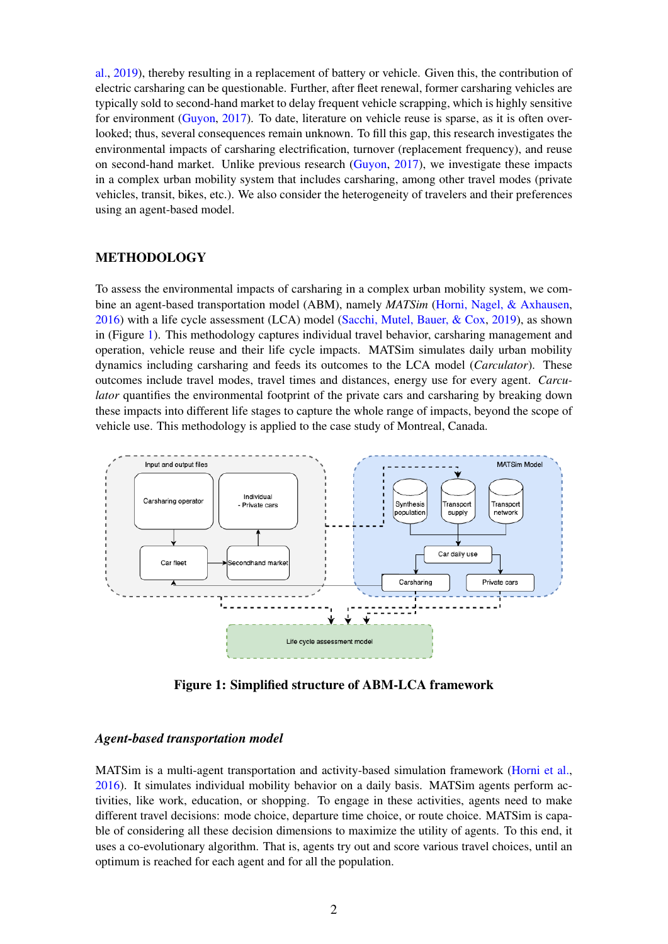[al.,](#page-8-5) [2019\)](#page-8-5), thereby resulting in a replacement of battery or vehicle. Given this, the contribution of electric carsharing can be questionable. Further, after fleet renewal, former carsharing vehicles are typically sold to second-hand market to delay frequent vehicle scrapping, which is highly sensitive for environment [\(Guyon,](#page-7-3) [2017\)](#page-7-3). To date, literature on vehicle reuse is sparse, as it is often overlooked; thus, several consequences remain unknown. To fill this gap, this research investigates the environmental impacts of carsharing electrification, turnover (replacement frequency), and reuse on second-hand market. Unlike previous research [\(Guyon,](#page-7-3) [2017\)](#page-7-3), we investigate these impacts in a complex urban mobility system that includes carsharing, among other travel modes (private vehicles, transit, bikes, etc.). We also consider the heterogeneity of travelers and their preferences using an agent-based model.

### METHODOLOGY

To assess the environmental impacts of carsharing in a complex urban mobility system, we combine an agent-based transportation model (ABM), namely *MATSim* [\(Horni, Nagel, & Axhausen,](#page-7-4) [2016\)](#page-7-4) with a life cycle assessment (LCA) model [\(Sacchi, Mutel, Bauer, & Cox,](#page-8-6) [2019\)](#page-8-6), as shown in (Figure [1\)](#page-1-0). This methodology captures individual travel behavior, carsharing management and operation, vehicle reuse and their life cycle impacts. MATSim simulates daily urban mobility dynamics including carsharing and feeds its outcomes to the LCA model (*Carculator*). These outcomes include travel modes, travel times and distances, energy use for every agent. *Carculator* quantifies the environmental footprint of the private cars and carsharing by breaking down these impacts into different life stages to capture the whole range of impacts, beyond the scope of vehicle use. This methodology is applied to the case study of Montreal, Canada.

<span id="page-1-0"></span>

Figure 1: Simplified structure of ABM-LCA framework

#### *Agent-based transportation model*

MATSim is a multi-agent transportation and activity-based simulation framework [\(Horni et al.,](#page-7-4) [2016\)](#page-7-4). It simulates individual mobility behavior on a daily basis. MATSim agents perform activities, like work, education, or shopping. To engage in these activities, agents need to make different travel decisions: mode choice, departure time choice, or route choice. MATSim is capable of considering all these decision dimensions to maximize the utility of agents. To this end, it uses a co-evolutionary algorithm. That is, agents try out and score various travel choices, until an optimum is reached for each agent and for all the population.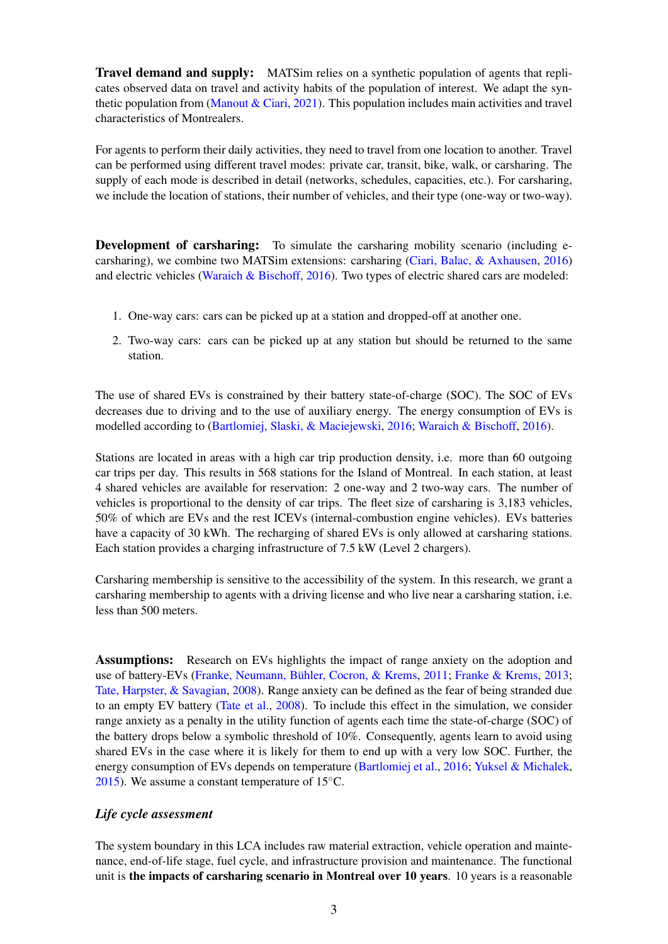Travel demand and supply: MATSim relies on a synthetic population of agents that replicates observed data on travel and activity habits of the population of interest. We adapt the syn-thetic population from [\(Manout & Ciari,](#page-8-7) [2021\)](#page-8-7). This population includes main activities and travel characteristics of Montrealers.

For agents to perform their daily activities, they need to travel from one location to another. Travel can be performed using different travel modes: private car, transit, bike, walk, or carsharing. The supply of each mode is described in detail (networks, schedules, capacities, etc.). For carsharing, we include the location of stations, their number of vehicles, and their type (one-way or two-way).

**Development of carsharing:** To simulate the carsharing mobility scenario (including ecarsharing), we combine two MATSim extensions: carsharing [\(Ciari, Balac, & Axhausen,](#page-7-5) [2016\)](#page-7-5) and electric vehicles [\(Waraich & Bischoff,](#page-8-8) [2016\)](#page-8-8). Two types of electric shared cars are modeled:

- 1. One-way cars: cars can be picked up at a station and dropped-off at another one.
- 2. Two-way cars: cars can be picked up at any station but should be returned to the same station.

The use of shared EVs is constrained by their battery state-of-charge (SOC). The SOC of EVs decreases due to driving and to the use of auxiliary energy. The energy consumption of EVs is modelled according to [\(Bartlomiej, Slaski, & Maciejewski,](#page-7-6) [2016;](#page-7-6) [Waraich & Bischoff,](#page-8-8) [2016\)](#page-8-8).

Stations are located in areas with a high car trip production density, i.e. more than 60 outgoing car trips per day. This results in 568 stations for the Island of Montreal. In each station, at least 4 shared vehicles are available for reservation: 2 one-way and 2 two-way cars. The number of vehicles is proportional to the density of car trips. The fleet size of carsharing is 3,183 vehicles, 50% of which are EVs and the rest ICEVs (internal-combustion engine vehicles). EVs batteries have a capacity of 30 kWh. The recharging of shared EVs is only allowed at carsharing stations. Each station provides a charging infrastructure of 7.5 kW (Level 2 chargers).

Carsharing membership is sensitive to the accessibility of the system. In this research, we grant a carsharing membership to agents with a driving license and who live near a carsharing station, i.e. less than 500 meters.

**Assumptions:** Research on EVs highlights the impact of range anxiety on the adoption and use of battery-EVs [\(Franke, Neumann, Bühler, Cocron, & Krems,](#page-7-7) [2011;](#page-7-7) [Franke & Krems,](#page-7-8) [2013;](#page-7-8) [Tate, Harpster, & Savagian,](#page-8-9) [2008\)](#page-8-9). Range anxiety can be defined as the fear of being stranded due to an empty EV battery [\(Tate et al.,](#page-8-9) [2008\)](#page-8-9). To include this effect in the simulation, we consider range anxiety as a penalty in the utility function of agents each time the state-of-charge (SOC) of the battery drops below a symbolic threshold of 10%. Consequently, agents learn to avoid using shared EVs in the case where it is likely for them to end up with a very low SOC. Further, the energy consumption of EVs depends on temperature [\(Bartlomiej et al.,](#page-7-6) [2016;](#page-7-6) [Yuksel & Michalek,](#page-8-10) [2015\)](#page-8-10). We assume a constant temperature of  $15^{\circ}$ C.

# *Life cycle assessment*

The system boundary in this LCA includes raw material extraction, vehicle operation and maintenance, end-of-life stage, fuel cycle, and infrastructure provision and maintenance. The functional unit is the impacts of carsharing scenario in Montreal over 10 years. 10 years is a reasonable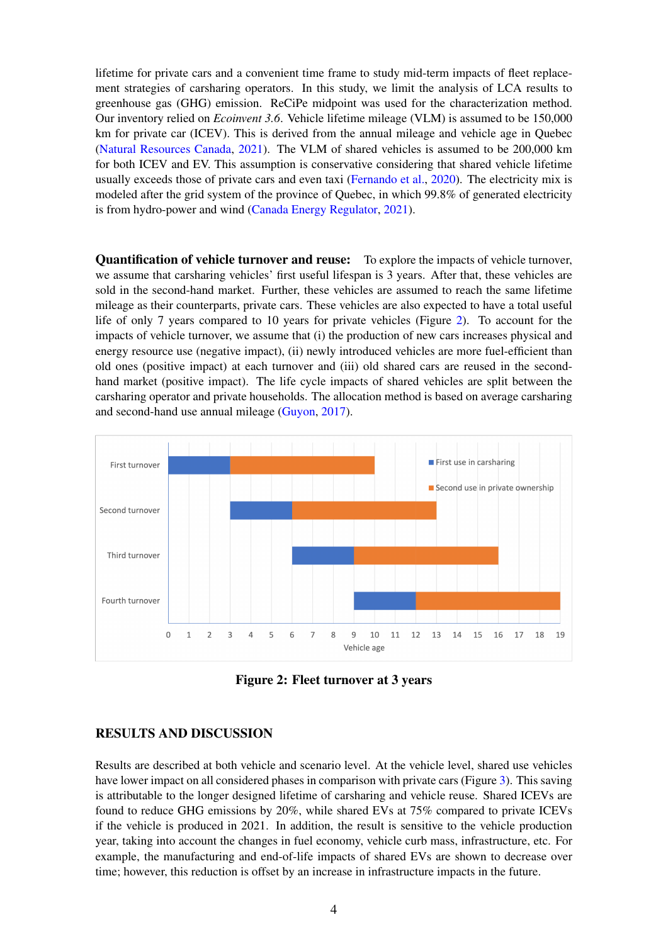lifetime for private cars and a convenient time frame to study mid-term impacts of fleet replacement strategies of carsharing operators. In this study, we limit the analysis of LCA results to greenhouse gas (GHG) emission. ReCiPe midpoint was used for the characterization method. Our inventory relied on *Ecoinvent 3.6*. Vehicle lifetime mileage (VLM) is assumed to be 150,000 km for private car (ICEV). This is derived from the annual mileage and vehicle age in Quebec [\(Natural Resources Canada,](#page-8-11) [2021\)](#page-8-11). The VLM of shared vehicles is assumed to be 200,000 km for both ICEV and EV. This assumption is conservative considering that shared vehicle lifetime usually exceeds those of private cars and even taxi [\(Fernando et al.,](#page-7-9) [2020\)](#page-7-9). The electricity mix is modeled after the grid system of the province of Quebec, in which 99.8% of generated electricity is from hydro-power and wind [\(Canada Energy Regulator,](#page-7-10) [2021\)](#page-7-10).

Quantification of vehicle turnover and reuse: To explore the impacts of vehicle turnover, we assume that carsharing vehicles' first useful lifespan is 3 years. After that, these vehicles are sold in the second-hand market. Further, these vehicles are assumed to reach the same lifetime mileage as their counterparts, private cars. These vehicles are also expected to have a total useful life of only 7 years compared to 10 years for private vehicles (Figure [2\)](#page-3-0). To account for the impacts of vehicle turnover, we assume that (i) the production of new cars increases physical and energy resource use (negative impact), (ii) newly introduced vehicles are more fuel-efficient than old ones (positive impact) at each turnover and (iii) old shared cars are reused in the secondhand market (positive impact). The life cycle impacts of shared vehicles are split between the carsharing operator and private households. The allocation method is based on average carsharing and second-hand use annual mileage [\(Guyon,](#page-7-3) [2017\)](#page-7-3).

<span id="page-3-0"></span>

Figure 2: Fleet turnover at 3 years

# RESULTS AND DISCUSSION

Results are described at both vehicle and scenario level. At the vehicle level, shared use vehicles have lower impact on all considered phases in comparison with private cars (Figure [3\)](#page-4-0). This saving is attributable to the longer designed lifetime of carsharing and vehicle reuse. Shared ICEVs are found to reduce GHG emissions by 20%, while shared EVs at 75% compared to private ICEVs if the vehicle is produced in 2021. In addition, the result is sensitive to the vehicle production year, taking into account the changes in fuel economy, vehicle curb mass, infrastructure, etc. For example, the manufacturing and end-of-life impacts of shared EVs are shown to decrease over time; however, this reduction is offset by an increase in infrastructure impacts in the future.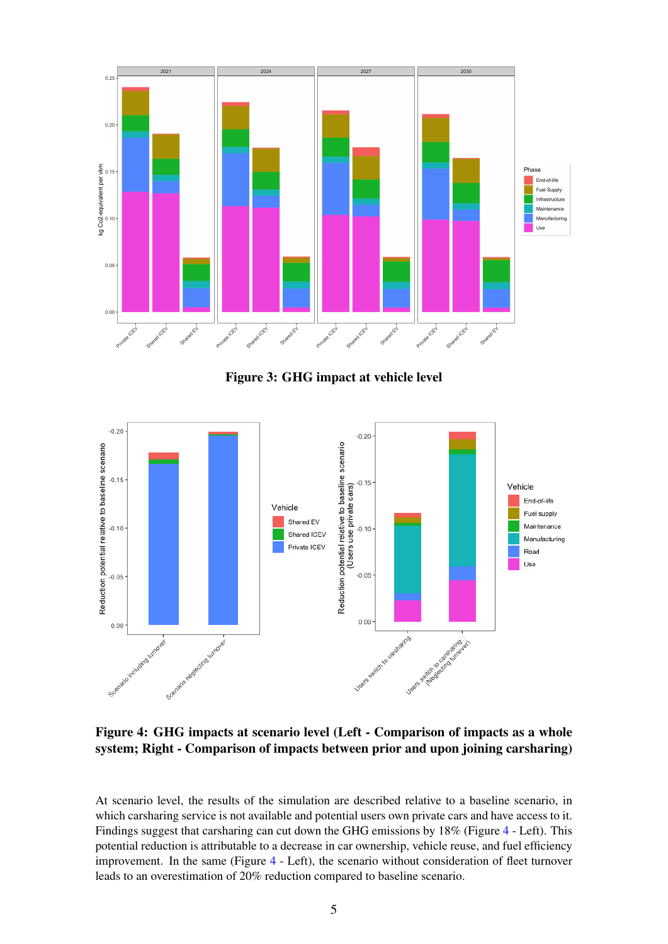<span id="page-4-0"></span>

Figure 3: GHG impact at vehicle level

<span id="page-4-1"></span>

Figure 4: GHG impacts at scenario level (Left - Comparison of impacts as a whole system; Right - Comparison of impacts between prior and upon joining carsharing)

At scenario level, the results of the simulation are described relative to a baseline scenario, in which carsharing service is not available and potential users own private cars and have access to it. Findings suggest that carsharing can cut down the GHG emissions by 18% (Figure [4](#page-4-1) - Left). This potential reduction is attributable to a decrease in car ownership, vehicle reuse, and fuel efficiency improvement. In the same (Figure [4](#page-4-1) - Left), the scenario without consideration of fleet turnover leads to an overestimation of 20% reduction compared to baseline scenario.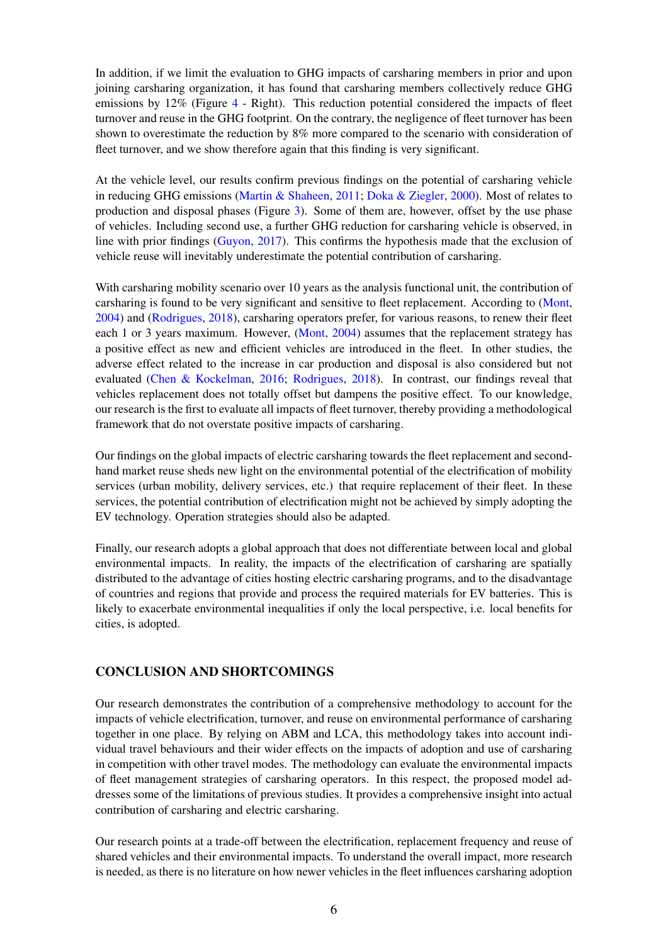In addition, if we limit the evaluation to GHG impacts of carsharing members in prior and upon joining carsharing organization, it has found that carsharing members collectively reduce GHG emissions by  $12\%$  (Figure [4](#page-4-1) - Right). This reduction potential considered the impacts of fleet turnover and reuse in the GHG footprint. On the contrary, the negligence of fleet turnover has been shown to overestimate the reduction by 8% more compared to the scenario with consideration of fleet turnover, and we show therefore again that this finding is very significant.

At the vehicle level, our results confirm previous findings on the potential of carsharing vehicle in reducing GHG emissions [\(Martin & Shaheen,](#page-8-2) [2011;](#page-8-2) [Doka & Ziegler,](#page-7-11) [2000\)](#page-7-11). Most of relates to production and disposal phases (Figure [3\)](#page-4-0). Some of them are, however, offset by the use phase of vehicles. Including second use, a further GHG reduction for carsharing vehicle is observed, in line with prior findings [\(Guyon,](#page-7-3) [2017\)](#page-7-3). This confirms the hypothesis made that the exclusion of vehicle reuse will inevitably underestimate the potential contribution of carsharing.

With carsharing mobility scenario over 10 years as the analysis functional unit, the contribution of carsharing is found to be very significant and sensitive to fleet replacement. According to [\(Mont,](#page-8-3) [2004\)](#page-8-3) and [\(Rodrigues,](#page-8-4) [2018\)](#page-8-4), carsharing operators prefer, for various reasons, to renew their fleet each 1 or 3 years maximum. However, [\(Mont,](#page-8-3) [2004\)](#page-8-3) assumes that the replacement strategy has a positive effect as new and efficient vehicles are introduced in the fleet. In other studies, the adverse effect related to the increase in car production and disposal is also considered but not evaluated [\(Chen & Kockelman,](#page-7-0) [2016;](#page-7-0) [Rodrigues,](#page-8-4) [2018\)](#page-8-4). In contrast, our findings reveal that vehicles replacement does not totally offset but dampens the positive effect. To our knowledge, our research is the first to evaluate all impacts of fleet turnover, thereby providing a methodological framework that do not overstate positive impacts of carsharing.

Our findings on the global impacts of electric carsharing towards the fleet replacement and secondhand market reuse sheds new light on the environmental potential of the electrification of mobility services (urban mobility, delivery services, etc.) that require replacement of their fleet. In these services, the potential contribution of electrification might not be achieved by simply adopting the EV technology. Operation strategies should also be adapted.

Finally, our research adopts a global approach that does not differentiate between local and global environmental impacts. In reality, the impacts of the electrification of carsharing are spatially distributed to the advantage of cities hosting electric carsharing programs, and to the disadvantage of countries and regions that provide and process the required materials for EV batteries. This is likely to exacerbate environmental inequalities if only the local perspective, i.e. local benefits for cities, is adopted.

# CONCLUSION AND SHORTCOMINGS

Our research demonstrates the contribution of a comprehensive methodology to account for the impacts of vehicle electrification, turnover, and reuse on environmental performance of carsharing together in one place. By relying on ABM and LCA, this methodology takes into account individual travel behaviours and their wider effects on the impacts of adoption and use of carsharing in competition with other travel modes. The methodology can evaluate the environmental impacts of fleet management strategies of carsharing operators. In this respect, the proposed model addresses some of the limitations of previous studies. It provides a comprehensive insight into actual contribution of carsharing and electric carsharing.

Our research points at a trade-off between the electrification, replacement frequency and reuse of shared vehicles and their environmental impacts. To understand the overall impact, more research is needed, as there is no literature on how newer vehicles in the fleet influences carsharing adoption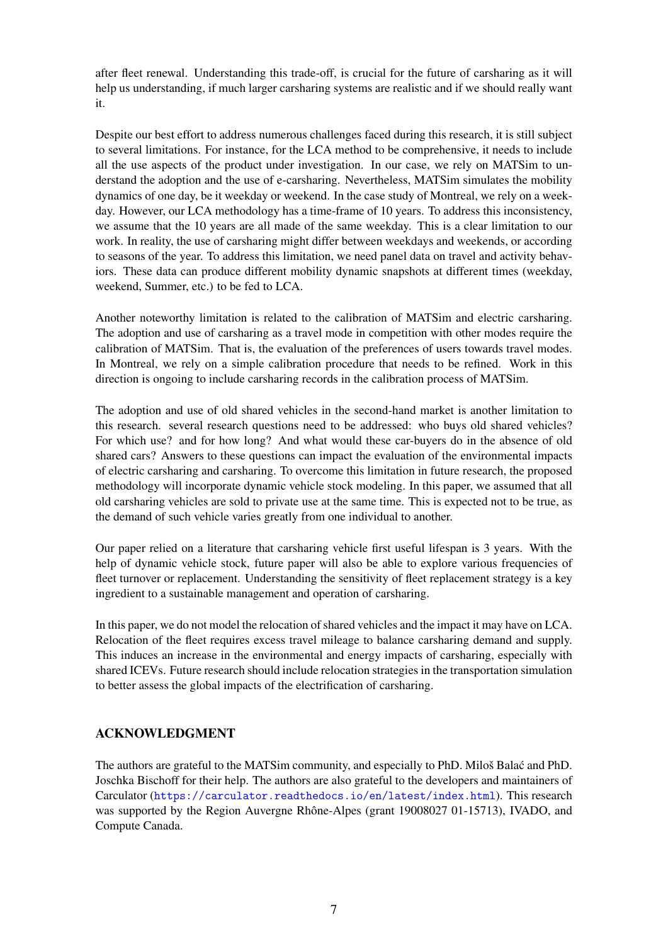after fleet renewal. Understanding this trade-off, is crucial for the future of carsharing as it will help us understanding, if much larger carsharing systems are realistic and if we should really want it.

Despite our best effort to address numerous challenges faced during this research, it is still subject to several limitations. For instance, for the LCA method to be comprehensive, it needs to include all the use aspects of the product under investigation. In our case, we rely on MATSim to understand the adoption and the use of e-carsharing. Nevertheless, MATSim simulates the mobility dynamics of one day, be it weekday or weekend. In the case study of Montreal, we rely on a weekday. However, our LCA methodology has a time-frame of 10 years. To address this inconsistency, we assume that the 10 years are all made of the same weekday. This is a clear limitation to our work. In reality, the use of carsharing might differ between weekdays and weekends, or according to seasons of the year. To address this limitation, we need panel data on travel and activity behaviors. These data can produce different mobility dynamic snapshots at different times (weekday, weekend, Summer, etc.) to be fed to LCA.

Another noteworthy limitation is related to the calibration of MATSim and electric carsharing. The adoption and use of carsharing as a travel mode in competition with other modes require the calibration of MATSim. That is, the evaluation of the preferences of users towards travel modes. In Montreal, we rely on a simple calibration procedure that needs to be refined. Work in this direction is ongoing to include carsharing records in the calibration process of MATSim.

The adoption and use of old shared vehicles in the second-hand market is another limitation to this research. several research questions need to be addressed: who buys old shared vehicles? For which use? and for how long? And what would these car-buyers do in the absence of old shared cars? Answers to these questions can impact the evaluation of the environmental impacts of electric carsharing and carsharing. To overcome this limitation in future research, the proposed methodology will incorporate dynamic vehicle stock modeling. In this paper, we assumed that all old carsharing vehicles are sold to private use at the same time. This is expected not to be true, as the demand of such vehicle varies greatly from one individual to another.

Our paper relied on a literature that carsharing vehicle first useful lifespan is 3 years. With the help of dynamic vehicle stock, future paper will also be able to explore various frequencies of fleet turnover or replacement. Understanding the sensitivity of fleet replacement strategy is a key ingredient to a sustainable management and operation of carsharing.

In this paper, we do not model the relocation of shared vehicles and the impact it may have on LCA. Relocation of the fleet requires excess travel mileage to balance carsharing demand and supply. This induces an increase in the environmental and energy impacts of carsharing, especially with shared ICEVs. Future research should include relocation strategies in the transportation simulation to better assess the global impacts of the electrification of carsharing.

# ACKNOWLEDGMENT

The authors are grateful to the MATSim community, and especially to PhD. Miloš Balac and PhD. ´ Joschka Bischoff for their help. The authors are also grateful to the developers and maintainers of Carculator (<https://carculator.readthedocs.io/en/latest/index.html>). This research was supported by the Region Auvergne Rhône-Alpes (grant 19008027 01-15713), IVADO, and Compute Canada.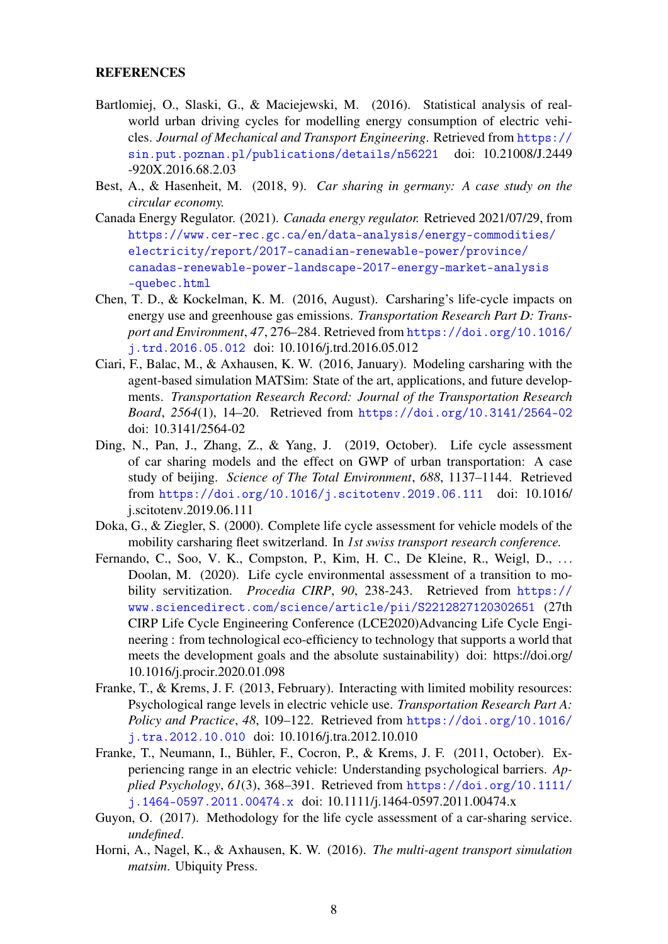#### **REFERENCES**

- <span id="page-7-6"></span>Bartlomiej, O., Slaski, G., & Maciejewski, M. (2016). Statistical analysis of realworld urban driving cycles for modelling energy consumption of electric vehicles. *Journal of Mechanical and Transport Engineering*. Retrieved from [https://](https://sin.put.poznan.pl/publications/details/n56221) [sin.put.poznan.pl/publications/details/n56221](https://sin.put.poznan.pl/publications/details/n56221) doi: 10.21008/J.2449 -920X.2016.68.2.03
- <span id="page-7-2"></span>Best, A., & Hasenheit, M. (2018, 9). *Car sharing in germany: A case study on the circular economy.*
- <span id="page-7-10"></span>Canada Energy Regulator. (2021). *Canada energy regulator.* Retrieved 2021/07/29, from [https://www.cer-rec.gc.ca/en/data-analysis/energy-commodities/](https://www.cer-rec.gc.ca/en/data-analysis/energy-commodities/electricity/report/2017-canadian-renewable-power/province/canadas-renewable-power-landscape-2017-energy-market-analysis-quebec.html) [electricity/report/2017-canadian-renewable-power/province/](https://www.cer-rec.gc.ca/en/data-analysis/energy-commodities/electricity/report/2017-canadian-renewable-power/province/canadas-renewable-power-landscape-2017-energy-market-analysis-quebec.html) [canadas-renewable-power-landscape-2017-energy-market-analysis](https://www.cer-rec.gc.ca/en/data-analysis/energy-commodities/electricity/report/2017-canadian-renewable-power/province/canadas-renewable-power-landscape-2017-energy-market-analysis-quebec.html) [-quebec.html](https://www.cer-rec.gc.ca/en/data-analysis/energy-commodities/electricity/report/2017-canadian-renewable-power/province/canadas-renewable-power-landscape-2017-energy-market-analysis-quebec.html)
- <span id="page-7-0"></span>Chen, T. D., & Kockelman, K. M. (2016, August). Carsharing's life-cycle impacts on energy use and greenhouse gas emissions. *Transportation Research Part D: Transport and Environment*, *47*, 276–284. Retrieved from [https://doi.org/10.1016/](https://doi.org/10.1016/j.trd.2016.05.012) [j.trd.2016.05.012](https://doi.org/10.1016/j.trd.2016.05.012) doi: 10.1016/j.trd.2016.05.012
- <span id="page-7-5"></span>Ciari, F., Balac, M., & Axhausen, K. W. (2016, January). Modeling carsharing with the agent-based simulation MATSim: State of the art, applications, and future developments. *Transportation Research Record: Journal of the Transportation Research Board*, *2564*(1), 14–20. Retrieved from <https://doi.org/10.3141/2564-02> doi: 10.3141/2564-02
- <span id="page-7-1"></span>Ding, N., Pan, J., Zhang, Z., & Yang, J. (2019, October). Life cycle assessment of car sharing models and the effect on GWP of urban transportation: A case study of beijing. *Science of The Total Environment*, *688*, 1137–1144. Retrieved from <https://doi.org/10.1016/j.scitotenv.2019.06.111> doi: 10.1016/ j.scitotenv.2019.06.111
- <span id="page-7-11"></span>Doka, G., & Ziegler, S. (2000). Complete life cycle assessment for vehicle models of the mobility carsharing fleet switzerland. In *1st swiss transport research conference.*
- <span id="page-7-9"></span>Fernando, C., Soo, V. K., Compston, P., Kim, H. C., De Kleine, R., Weigl, D., ... Doolan, M. (2020). Life cycle environmental assessment of a transition to mobility servitization. *Procedia CIRP*, *90*, 238-243. Retrieved from [https://](https://www.sciencedirect.com/science/article/pii/S2212827120302651) [www.sciencedirect.com/science/article/pii/S2212827120302651](https://www.sciencedirect.com/science/article/pii/S2212827120302651) (27th CIRP Life Cycle Engineering Conference (LCE2020)Advancing Life Cycle Engineering : from technological eco-efficiency to technology that supports a world that meets the development goals and the absolute sustainability) doi: https://doi.org/ 10.1016/j.procir.2020.01.098
- <span id="page-7-8"></span>Franke, T., & Krems, J. F. (2013, February). Interacting with limited mobility resources: Psychological range levels in electric vehicle use. *Transportation Research Part A: Policy and Practice*, *48*, 109–122. Retrieved from [https://doi.org/10.1016/](https://doi.org/10.1016/j.tra.2012.10.010) [j.tra.2012.10.010](https://doi.org/10.1016/j.tra.2012.10.010) doi: 10.1016/j.tra.2012.10.010
- <span id="page-7-7"></span>Franke, T., Neumann, I., Bühler, F., Cocron, P., & Krems, J. F. (2011, October). Experiencing range in an electric vehicle: Understanding psychological barriers. *Applied Psychology*, *61*(3), 368–391. Retrieved from [https://doi.org/10.1111/](https://doi.org/10.1111/j.1464-0597.2011.00474.x) [j.1464-0597.2011.00474.x](https://doi.org/10.1111/j.1464-0597.2011.00474.x) doi: 10.1111/j.1464-0597.2011.00474.x
- <span id="page-7-3"></span>Guyon, O. (2017). Methodology for the life cycle assessment of a car-sharing service. *undefined*.
- <span id="page-7-4"></span>Horni, A., Nagel, K., & Axhausen, K. W. (2016). *The multi-agent transport simulation matsim*. Ubiquity Press.